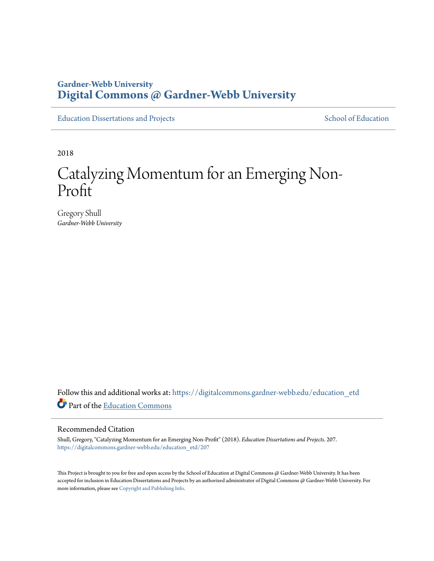## **Gardner-Webb University [Digital Commons @ Gardner-Webb University](https://digitalcommons.gardner-webb.edu?utm_source=digitalcommons.gardner-webb.edu%2Feducation_etd%2F207&utm_medium=PDF&utm_campaign=PDFCoverPages)**

[Education Dissertations and Projects](https://digitalcommons.gardner-webb.edu/education_etd?utm_source=digitalcommons.gardner-webb.edu%2Feducation_etd%2F207&utm_medium=PDF&utm_campaign=PDFCoverPages) [School of Education](https://digitalcommons.gardner-webb.edu/education?utm_source=digitalcommons.gardner-webb.edu%2Feducation_etd%2F207&utm_medium=PDF&utm_campaign=PDFCoverPages)

2018

# Catalyzing Momentum for an Emerging Non-Profit

Gregory Shull *Gardner-Webb University*

Follow this and additional works at: [https://digitalcommons.gardner-webb.edu/education\\_etd](https://digitalcommons.gardner-webb.edu/education_etd?utm_source=digitalcommons.gardner-webb.edu%2Feducation_etd%2F207&utm_medium=PDF&utm_campaign=PDFCoverPages) Part of the [Education Commons](http://network.bepress.com/hgg/discipline/784?utm_source=digitalcommons.gardner-webb.edu%2Feducation_etd%2F207&utm_medium=PDF&utm_campaign=PDFCoverPages)

#### Recommended Citation

Shull, Gregory, "Catalyzing Momentum for an Emerging Non-Profit" (2018). *Education Dissertations and Projects*. 207. [https://digitalcommons.gardner-webb.edu/education\\_etd/207](https://digitalcommons.gardner-webb.edu/education_etd/207?utm_source=digitalcommons.gardner-webb.edu%2Feducation_etd%2F207&utm_medium=PDF&utm_campaign=PDFCoverPages)

This Project is brought to you for free and open access by the School of Education at Digital Commons @ Gardner-Webb University. It has been accepted for inclusion in Education Dissertations and Projects by an authorized administrator of Digital Commons @ Gardner-Webb University. For more information, please see [Copyright and Publishing Info](https://digitalcommons.gardner-webb.edu/copyright_publishing.html).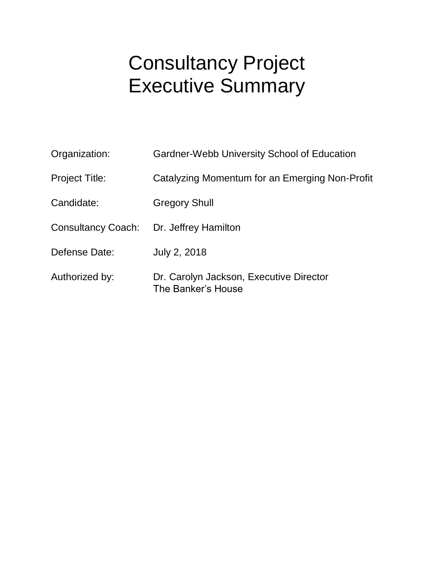# Consultancy Project Executive Summary

| Organization:             | Gardner-Webb University School of Education                   |
|---------------------------|---------------------------------------------------------------|
| <b>Project Title:</b>     | Catalyzing Momentum for an Emerging Non-Profit                |
| Candidate:                | <b>Gregory Shull</b>                                          |
| <b>Consultancy Coach:</b> | Dr. Jeffrey Hamilton                                          |
| Defense Date:             | July 2, 2018                                                  |
| Authorized by:            | Dr. Carolyn Jackson, Executive Director<br>The Banker's House |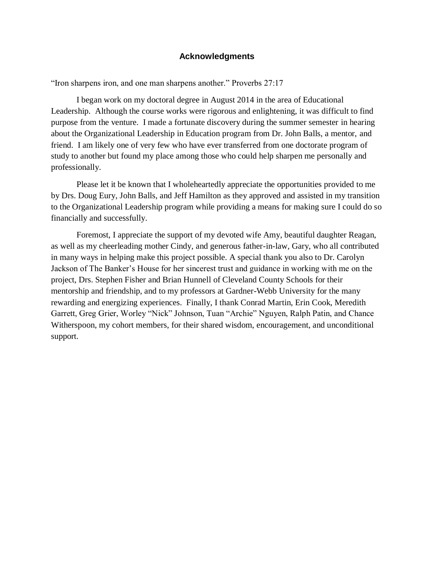#### **Acknowledgments**

<span id="page-2-0"></span>"Iron sharpens iron, and one man sharpens another." Proverbs 27:17

I began work on my doctoral degree in August 2014 in the area of Educational Leadership. Although the course works were rigorous and enlightening, it was difficult to find purpose from the venture. I made a fortunate discovery during the summer semester in hearing about the Organizational Leadership in Education program from Dr. John Balls, a mentor, and friend. I am likely one of very few who have ever transferred from one doctorate program of study to another but found my place among those who could help sharpen me personally and professionally.

Please let it be known that I wholeheartedly appreciate the opportunities provided to me by Drs. Doug Eury, John Balls, and Jeff Hamilton as they approved and assisted in my transition to the Organizational Leadership program while providing a means for making sure I could do so financially and successfully.

Foremost, I appreciate the support of my devoted wife Amy, beautiful daughter Reagan, as well as my cheerleading mother Cindy, and generous father-in-law, Gary, who all contributed in many ways in helping make this project possible. A special thank you also to Dr. Carolyn Jackson of The Banker's House for her sincerest trust and guidance in working with me on the project, Drs. Stephen Fisher and Brian Hunnell of Cleveland County Schools for their mentorship and friendship, and to my professors at Gardner-Webb University for the many rewarding and energizing experiences. Finally, I thank Conrad Martin, Erin Cook, Meredith Garrett, Greg Grier, Worley "Nick" Johnson, Tuan "Archie" Nguyen, Ralph Patin, and Chance Witherspoon, my cohort members, for their shared wisdom, encouragement, and unconditional support.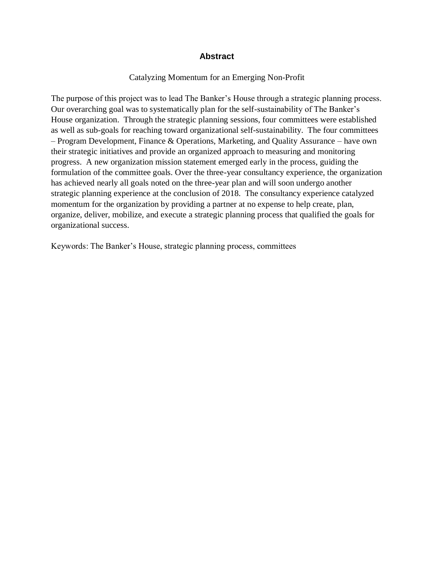#### **Abstract**

#### Catalyzing Momentum for an Emerging Non-Profit

<span id="page-3-0"></span>The purpose of this project was to lead The Banker's House through a strategic planning process. Our overarching goal was to systematically plan for the self-sustainability of The Banker's House organization. Through the strategic planning sessions, four committees were established as well as sub-goals for reaching toward organizational self-sustainability. The four committees – Program Development, Finance & Operations, Marketing, and Quality Assurance – have own their strategic initiatives and provide an organized approach to measuring and monitoring progress. A new organization mission statement emerged early in the process, guiding the formulation of the committee goals. Over the three-year consultancy experience, the organization has achieved nearly all goals noted on the three-year plan and will soon undergo another strategic planning experience at the conclusion of 2018. The consultancy experience catalyzed momentum for the organization by providing a partner at no expense to help create, plan, organize, deliver, mobilize, and execute a strategic planning process that qualified the goals for organizational success.

Keywords: The Banker's House, strategic planning process, committees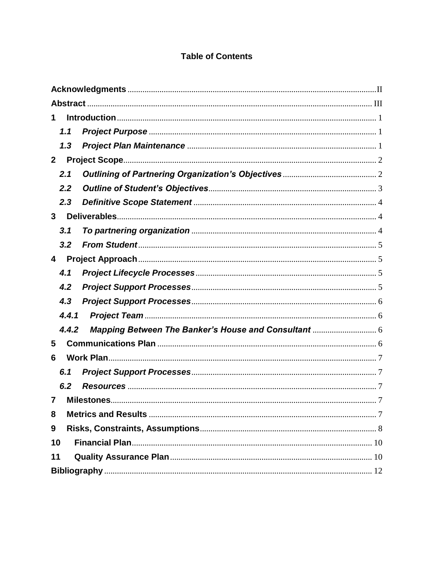## **Table of Contents**

| 1.1                     |       |                   |   |
|-------------------------|-------|-------------------|---|
|                         | 1.3   |                   |   |
| $\mathbf{2}$            |       |                   |   |
| 2.1                     |       |                   |   |
| 2.2                     |       |                   |   |
| 2.3                     |       |                   |   |
| 3 <sup>1</sup>          |       |                   |   |
| 3.1                     |       |                   |   |
|                         | 3.2   |                   |   |
| $\overline{\mathbf{4}}$ |       |                   |   |
| 4.1                     |       |                   |   |
| 4.2                     |       |                   |   |
| 4.3                     |       |                   |   |
|                         | 4.4.1 |                   |   |
|                         | 4.4.2 |                   |   |
| 5                       |       |                   |   |
| 6                       |       |                   |   |
| 6.1                     |       |                   |   |
| 6.2                     |       |                   |   |
| $\mathbf{7}$            |       | <b>Milestones</b> | 7 |
| 8                       |       |                   |   |
| 9                       |       |                   |   |
| 10                      |       |                   |   |
| 11                      |       |                   |   |
|                         |       |                   |   |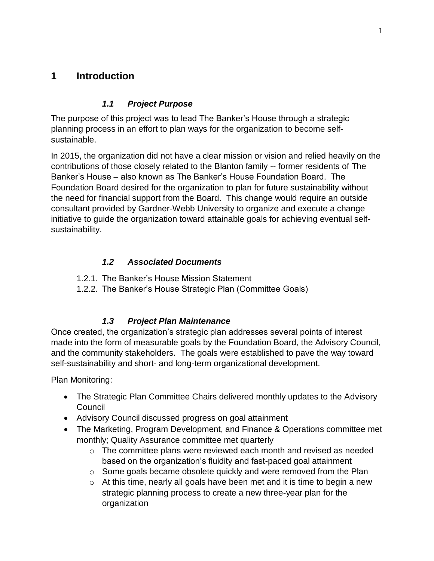## <span id="page-5-0"></span>**1 Introduction**

#### *1.1 Project Purpose*

<span id="page-5-1"></span>The purpose of this project was to lead The Banker's House through a strategic planning process in an effort to plan ways for the organization to become selfsustainable.

In 2015, the organization did not have a clear mission or vision and relied heavily on the contributions of those closely related to the Blanton family -- former residents of The Banker's House – also known as The Banker's House Foundation Board. The Foundation Board desired for the organization to plan for future sustainability without the need for financial support from the Board. This change would require an outside consultant provided by Gardner-Webb University to organize and execute a change initiative to guide the organization toward attainable goals for achieving eventual selfsustainability.

#### *1.2 Associated Documents*

- 1.2.1. The Banker's House Mission Statement
- 1.2.2. The Banker's House Strategic Plan (Committee Goals)

#### *1.3 Project Plan Maintenance*

<span id="page-5-2"></span>Once created, the organization's strategic plan addresses several points of interest made into the form of measurable goals by the Foundation Board, the Advisory Council, and the community stakeholders. The goals were established to pave the way toward self-sustainability and short- and long-term organizational development.

Plan Monitoring:

- The Strategic Plan Committee Chairs delivered monthly updates to the Advisory Council
- Advisory Council discussed progress on goal attainment
- The Marketing, Program Development, and Finance & Operations committee met monthly; Quality Assurance committee met quarterly
	- $\circ$  The committee plans were reviewed each month and revised as needed based on the organization's fluidity and fast-paced goal attainment
	- $\circ$  Some goals became obsolete quickly and were removed from the Plan
	- o At this time, nearly all goals have been met and it is time to begin a new strategic planning process to create a new three-year plan for the organization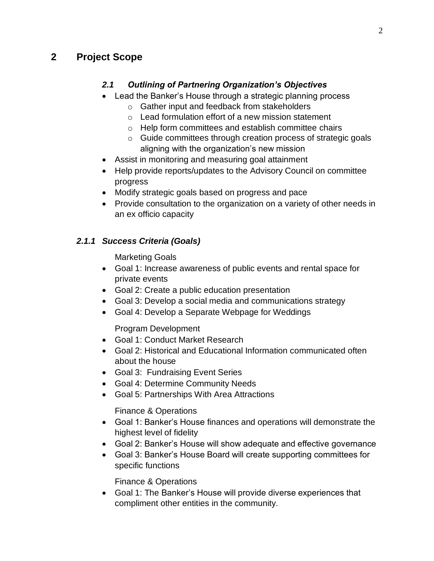## <span id="page-6-1"></span><span id="page-6-0"></span>**2 Project Scope**

#### *2.1 Outlining of Partnering Organization's Objectives*

- Lead the Banker's House through a strategic planning process
	- o Gather input and feedback from stakeholders
	- o Lead formulation effort of a new mission statement
	- o Help form committees and establish committee chairs
	- o Guide committees through creation process of strategic goals aligning with the organization's new mission
- Assist in monitoring and measuring goal attainment
- Help provide reports/updates to the Advisory Council on committee progress
- Modify strategic goals based on progress and pace
- Provide consultation to the organization on a variety of other needs in an ex officio capacity

## *2.1.1 Success Criteria (Goals)*

Marketing Goals

- Goal 1: Increase awareness of public events and rental space for private events
- Goal 2: Create a public education presentation
- Goal 3: Develop a social media and communications strategy
- Goal 4: Develop a Separate Webpage for Weddings

Program Development

- Goal 1: Conduct Market Research
- Goal 2: Historical and Educational Information communicated often about the house
- Goal 3: Fundraising Event Series
- Goal 4: Determine Community Needs
- Goal 5: Partnerships With Area Attractions

Finance & Operations

- Goal 1: Banker's House finances and operations will demonstrate the highest level of fidelity
- Goal 2: Banker's House will show adequate and effective governance
- Goal 3: Banker's House Board will create supporting committees for specific functions

Finance & Operations

• Goal 1: The Banker's House will provide diverse experiences that compliment other entities in the community.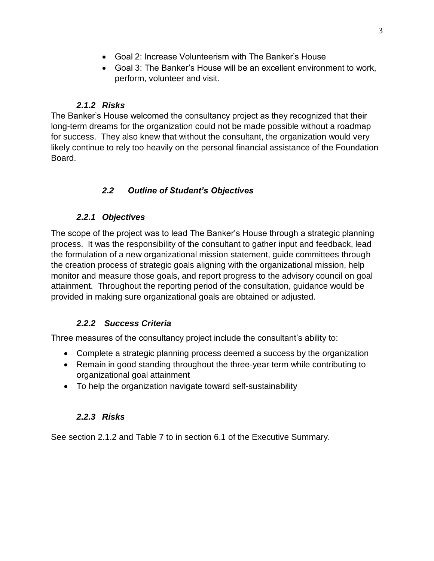- Goal 2: Increase Volunteerism with The Banker's House
- Goal 3: The Banker's House will be an excellent environment to work, perform, volunteer and visit.

#### *2.1.2 Risks*

The Banker's House welcomed the consultancy project as they recognized that their long-term dreams for the organization could not be made possible without a roadmap for success. They also knew that without the consultant, the organization would very likely continue to rely too heavily on the personal financial assistance of the Foundation Board.

## *2.2 Outline of Student's Objectives*

## <span id="page-7-0"></span>*2.2.1 Objectives*

The scope of the project was to lead The Banker's House through a strategic planning process. It was the responsibility of the consultant to gather input and feedback, lead the formulation of a new organizational mission statement, guide committees through the creation process of strategic goals aligning with the organizational mission, help monitor and measure those goals, and report progress to the advisory council on goal attainment. Throughout the reporting period of the consultation, guidance would be provided in making sure organizational goals are obtained or adjusted.

## *2.2.2 Success Criteria*

Three measures of the consultancy project include the consultant's ability to:

- Complete a strategic planning process deemed a success by the organization
- Remain in good standing throughout the three-year term while contributing to organizational goal attainment
- To help the organization navigate toward self-sustainability

## *2.2.3 Risks*

See section 2.1.2 and Table 7 to in section 6.1 of the Executive Summary.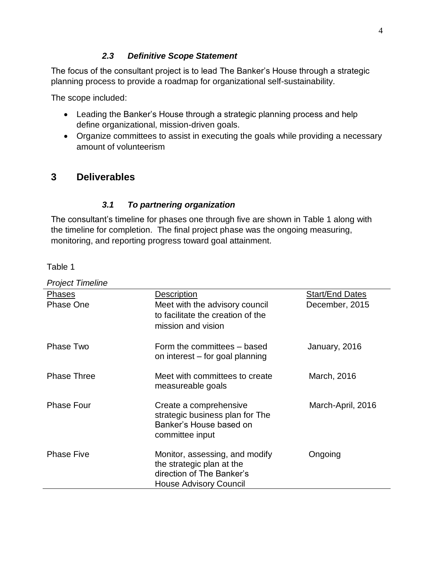#### *2.3 Definitive Scope Statement*

<span id="page-8-0"></span>The focus of the consultant project is to lead The Banker's House through a strategic planning process to provide a roadmap for organizational self-sustainability.

The scope included:

- Leading the Banker's House through a strategic planning process and help define organizational, mission-driven goals.
- Organize committees to assist in executing the goals while providing a necessary amount of volunteerism

## <span id="page-8-1"></span>**3 Deliverables**

#### *3.1 To partnering organization*

<span id="page-8-2"></span>The consultant's timeline for phases one through five are shown in Table 1 along with the timeline for completion. The final project phase was the ongoing measuring, monitoring, and reporting progress toward goal attainment.

Table 1

| <b>Project Timeline</b> |                                   |                        |
|-------------------------|-----------------------------------|------------------------|
| Phases                  | <b>Description</b>                | <b>Start/End Dates</b> |
| <b>Phase One</b>        | Meet with the advisory council    | December, 2015         |
|                         | to facilitate the creation of the |                        |
|                         | mission and vision                |                        |
| Phase Two               | Form the committees – based       | January, 2016          |
|                         | on interest – for goal planning   |                        |
| <b>Phase Three</b>      | Meet with committees to create    | March, 2016            |
|                         | measureable goals                 |                        |
| <b>Phase Four</b>       | Create a comprehensive            | March-April, 2016      |
|                         | strategic business plan for The   |                        |
|                         | Banker's House based on           |                        |
|                         | committee input                   |                        |
| <b>Phase Five</b>       | Monitor, assessing, and modify    | Ongoing                |
|                         | the strategic plan at the         |                        |
|                         | direction of The Banker's         |                        |
|                         | <b>House Advisory Council</b>     |                        |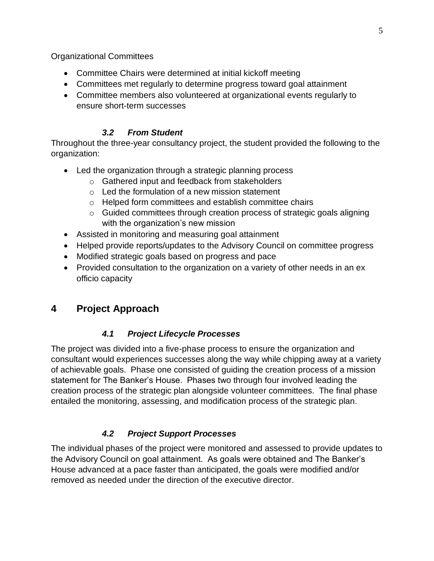Organizational Committees

- Committee Chairs were determined at initial kickoff meeting
- Committees met regularly to determine progress toward goal attainment
- Committee members also volunteered at organizational events regularly to ensure short-term successes

## *3.2 From Student*

<span id="page-9-0"></span>Throughout the three-year consultancy project, the student provided the following to the organization:

- Led the organization through a strategic planning process
	- o Gathered input and feedback from stakeholders
	- $\circ$  Led the formulation of a new mission statement
	- o Helped form committees and establish committee chairs
	- o Guided committees through creation process of strategic goals aligning with the organization's new mission
- Assisted in monitoring and measuring goal attainment
- Helped provide reports/updates to the Advisory Council on committee progress
- Modified strategic goals based on progress and pace
- Provided consultation to the organization on a variety of other needs in an ex officio capacity

## <span id="page-9-1"></span>**4 Project Approach**

## *4.1 Project Lifecycle Processes*

<span id="page-9-2"></span>The project was divided into a five-phase process to ensure the organization and consultant would experiences successes along the way while chipping away at a variety of achievable goals. Phase one consisted of guiding the creation process of a mission statement for The Banker's House. Phases two through four involved leading the creation process of the strategic plan alongside volunteer committees. The final phase entailed the monitoring, assessing, and modification process of the strategic plan.

## *4.2 Project Support Processes*

<span id="page-9-3"></span>The individual phases of the project were monitored and assessed to provide updates to the Advisory Council on goal attainment. As goals were obtained and The Banker's House advanced at a pace faster than anticipated, the goals were modified and/or removed as needed under the direction of the executive director.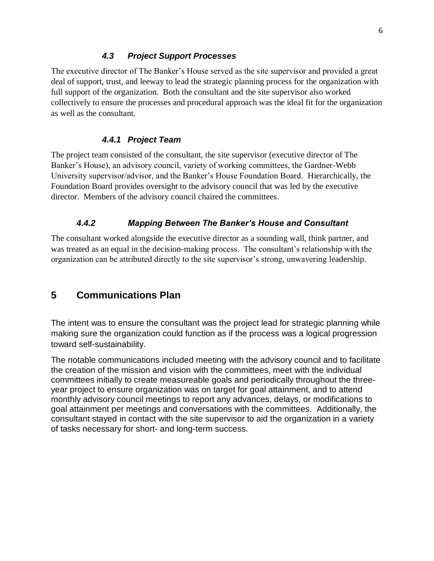#### *4.3 Project Support Processes*

<span id="page-10-0"></span>The executive director of The Banker's House served as the site supervisor and provided a great deal of support, trust, and leeway to lead the strategic planning process for the organization with full support of the organization. Both the consultant and the site supervisor also worked collectively to ensure the processes and procedural approach was the ideal fit for the organization as well as the consultant.

#### *4.4.1 Project Team*

<span id="page-10-1"></span>The project team consisted of the consultant, the site supervisor (executive director of The Banker's House), an advisory council, variety of working committees, the Gardner-Webb University supervisor/advisor, and the Banker's House Foundation Board. Hierarchically, the Foundation Board provides oversight to the advisory council that was led by the executive director. Members of the advisory council chaired the committees.

#### *4.4.2 Mapping Between The Banker's House and Consultant*

<span id="page-10-2"></span>The consultant worked alongside the executive director as a sounding wall, think partner, and was treated as an equal in the decision-making process. The consultant's relationship with the organization can be attributed directly to the site supervisor's strong, unwavering leadership.

## <span id="page-10-3"></span>**5 Communications Plan**

The intent was to ensure the consultant was the project lead for strategic planning while making sure the organization could function as if the process was a logical progression toward self-sustainability.

The notable communications included meeting with the advisory council and to facilitate the creation of the mission and vision with the committees, meet with the individual committees initially to create measureable goals and periodically throughout the threeyear project to ensure organization was on target for goal attainment, and to attend monthly advisory council meetings to report any advances, delays, or modifications to goal attainment per meetings and conversations with the committees. Additionally, the consultant stayed in contact with the site supervisor to aid the organization in a variety of tasks necessary for short- and long-term success.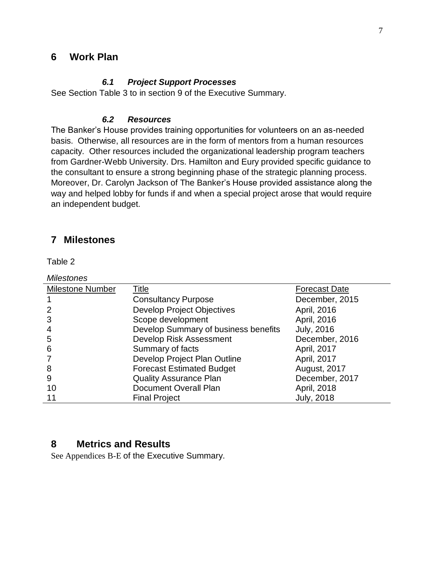#### <span id="page-11-0"></span>**6 Work Plan**

#### *6.1 Project Support Processes*

<span id="page-11-1"></span>See Section Table 3 to in section 9 of the Executive Summary.

#### *6.2 Resources*

<span id="page-11-2"></span>The Banker's House provides training opportunities for volunteers on an as-needed basis. Otherwise, all resources are in the form of mentors from a human resources capacity. Other resources included the organizational leadership program teachers from Gardner-Webb University. Drs. Hamilton and Eury provided specific guidance to the consultant to ensure a strong beginning phase of the strategic planning process. Moreover, Dr. Carolyn Jackson of The Banker's House provided assistance along the way and helped lobby for funds if and when a special project arose that would require an independent budget.

#### <span id="page-11-3"></span>**7 Milestones**

Table 2

| <b>Milestones</b>       |                                      |                      |
|-------------------------|--------------------------------------|----------------------|
| <b>Milestone Number</b> | <u>Title</u>                         | <b>Forecast Date</b> |
|                         | <b>Consultancy Purpose</b>           | December, 2015       |
|                         | <b>Develop Project Objectives</b>    | April, 2016          |
| 3                       | Scope development                    | April, 2016          |
|                         | Develop Summary of business benefits | <b>July, 2016</b>    |
| 5                       | Develop Risk Assessment              | December, 2016       |
| 6                       | Summary of facts                     | April, 2017          |
|                         | Develop Project Plan Outline         | April, 2017          |
| 8                       | <b>Forecast Estimated Budget</b>     | August, 2017         |
| 9                       | <b>Quality Assurance Plan</b>        | December, 2017       |
| 10                      | <b>Document Overall Plan</b>         | April, 2018          |
|                         | <b>Final Project</b>                 | <b>July, 2018</b>    |

#### <span id="page-11-4"></span>**8 Metrics and Results**

See Appendices B-E of the Executive Summary.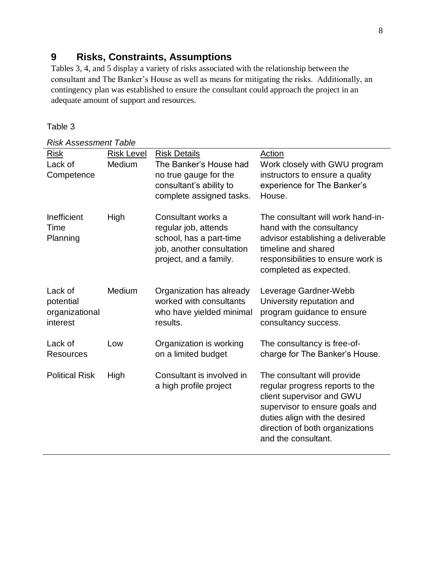## <span id="page-12-0"></span>**9 Risks, Constraints, Assumptions**

Tables 3, 4, and 5 display a variety of risks associated with the relationship between the consultant and The Banker's House as well as means for mitigating the risks. Additionally, an contingency plan was established to ensure the consultant could approach the project in an adequate amount of support and resources.

#### Table 3

*Risk Assessment Table*

| <b>Risk</b><br>Lack of<br>Competence               | <b>Risk Level</b><br>Medium | <b>Risk Details</b><br>The Banker's House had<br>no true gauge for the<br>consultant's ability to<br>complete assigned tasks. | Action<br>Work closely with GWU program<br>instructors to ensure a quality<br>experience for The Banker's<br>House.                                                                                                      |
|----------------------------------------------------|-----------------------------|-------------------------------------------------------------------------------------------------------------------------------|--------------------------------------------------------------------------------------------------------------------------------------------------------------------------------------------------------------------------|
| Inefficient<br>Time<br>Planning                    | High                        | Consultant works a<br>regular job, attends<br>school, has a part-time<br>job, another consultation<br>project, and a family.  | The consultant will work hand-in-<br>hand with the consultancy<br>advisor establishing a deliverable<br>timeline and shared<br>responsibilities to ensure work is<br>completed as expected.                              |
| Lack of<br>potential<br>organizational<br>interest | Medium                      | Organization has already<br>worked with consultants<br>who have yielded minimal<br>results.                                   | Leverage Gardner-Webb<br>University reputation and<br>program guidance to ensure<br>consultancy success.                                                                                                                 |
| Lack of<br><b>Resources</b>                        | Low                         | Organization is working<br>on a limited budget                                                                                | The consultancy is free-of-<br>charge for The Banker's House.                                                                                                                                                            |
| <b>Political Risk</b>                              | High                        | Consultant is involved in<br>a high profile project                                                                           | The consultant will provide<br>regular progress reports to the<br>client supervisor and GWU<br>supervisor to ensure goals and<br>duties align with the desired<br>direction of both organizations<br>and the consultant. |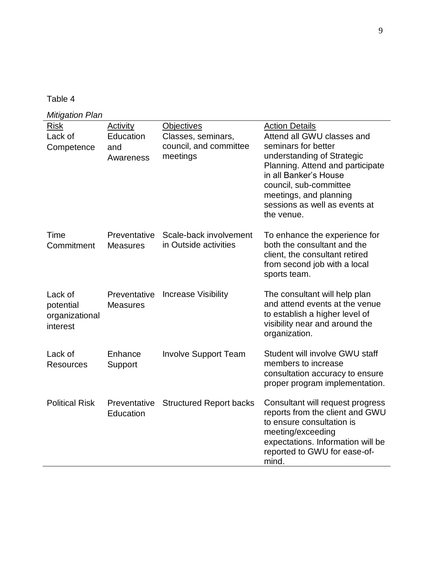#### Table 4

*Mitigation Plan*

| Risk<br>Lack of<br>Competence                      | <b>Activity</b><br>Education<br>and<br>Awareness | <b>Objectives</b><br>Classes, seminars,<br>council, and committee<br>meetings | <b>Action Details</b><br>Attend all GWU classes and<br>seminars for better<br>understanding of Strategic<br>Planning. Attend and participate<br>in all Banker's House<br>council, sub-committee<br>meetings, and planning<br>sessions as well as events at<br>the venue. |
|----------------------------------------------------|--------------------------------------------------|-------------------------------------------------------------------------------|--------------------------------------------------------------------------------------------------------------------------------------------------------------------------------------------------------------------------------------------------------------------------|
| Time<br>Commitment                                 | Preventative<br><b>Measures</b>                  | Scale-back involvement<br>in Outside activities                               | To enhance the experience for<br>both the consultant and the<br>client, the consultant retired<br>from second job with a local<br>sports team.                                                                                                                           |
| Lack of<br>potential<br>organizational<br>interest | Preventative<br><b>Measures</b>                  | <b>Increase Visibility</b>                                                    | The consultant will help plan<br>and attend events at the venue<br>to establish a higher level of<br>visibility near and around the<br>organization.                                                                                                                     |
| Lack of<br><b>Resources</b>                        | Enhance<br>Support                               | <b>Involve Support Team</b>                                                   | Student will involve GWU staff<br>members to increase<br>consultation accuracy to ensure<br>proper program implementation.                                                                                                                                               |
| <b>Political Risk</b>                              | Preventative<br>Education                        | <b>Structured Report backs</b>                                                | Consultant will request progress<br>reports from the client and GWU<br>to ensure consultation is<br>meeting/exceeding<br>expectations. Information will be<br>reported to GWU for ease-of-<br>mind.                                                                      |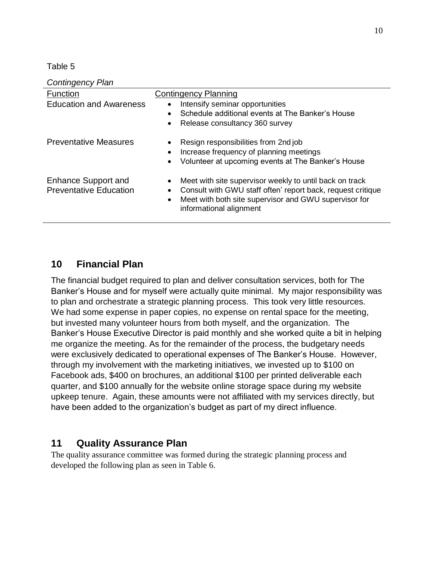Table 5

*Contingency Plan* **Function Contingency Planning** Education and Awareness • Intensify seminar opportunities Schedule additional events at The Banker's House • Release consultancy 360 survey Preventative Measures • Resign responsibilities from 2nd job • Increase frequency of planning meetings • Volunteer at upcoming events at The Banker's House Enhance Support and Preventative Education • Meet with site supervisor weekly to until back on track • Consult with GWU staff often' report back, request critique • Meet with both site supervisor and GWU supervisor for informational alignment

## <span id="page-14-0"></span>**10 Financial Plan**

The financial budget required to plan and deliver consultation services, both for The Banker's House and for myself were actually quite minimal. My major responsibility was to plan and orchestrate a strategic planning process. This took very little resources. We had some expense in paper copies, no expense on rental space for the meeting, but invested many volunteer hours from both myself, and the organization. The Banker's House Executive Director is paid monthly and she worked quite a bit in helping me organize the meeting. As for the remainder of the process, the budgetary needs were exclusively dedicated to operational expenses of The Banker's House. However, through my involvement with the marketing initiatives, we invested up to \$100 on Facebook ads, \$400 on brochures, an additional \$100 per printed deliverable each quarter, and \$100 annually for the website online storage space during my website upkeep tenure. Again, these amounts were not affiliated with my services directly, but have been added to the organization's budget as part of my direct influence.

## <span id="page-14-1"></span>**11 Quality Assurance Plan**

The quality assurance committee was formed during the strategic planning process and developed the following plan as seen in Table 6.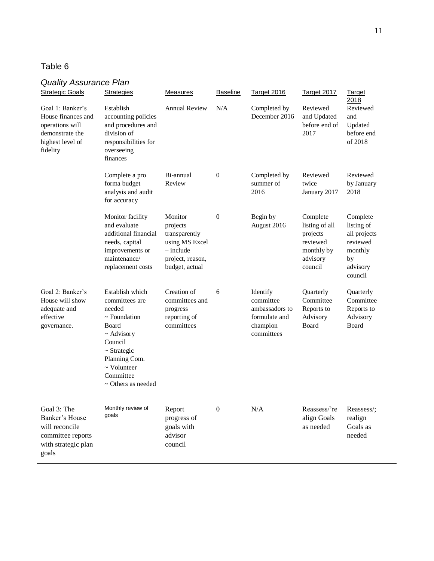#### Table 6

# *Quality Assurance Plan*

| $x^2$ and $y^2$ , too at all too that if                                                                     |                                                                                                                                                                                                           |                                                                                                             |                  |                                                                                    |                                                                                         |                                                                                            |
|--------------------------------------------------------------------------------------------------------------|-----------------------------------------------------------------------------------------------------------------------------------------------------------------------------------------------------------|-------------------------------------------------------------------------------------------------------------|------------------|------------------------------------------------------------------------------------|-----------------------------------------------------------------------------------------|--------------------------------------------------------------------------------------------|
| <b>Strategic Goals</b>                                                                                       | Strategies                                                                                                                                                                                                | Measures                                                                                                    | <b>Baseline</b>  | Target 2016                                                                        | Target 2017                                                                             | <b>Target</b><br>2018                                                                      |
| Goal 1: Banker's<br>House finances and<br>operations will<br>demonstrate the<br>highest level of<br>fidelity | Establish<br>accounting policies<br>and procedures and<br>division of<br>responsibilities for<br>overseeing<br>finances                                                                                   | <b>Annual Review</b>                                                                                        | N/A              | Completed by<br>December 2016                                                      | Reviewed<br>and Updated<br>before end of<br>2017                                        | Reviewed<br>and<br>Updated<br>before end<br>of 2018                                        |
|                                                                                                              | Complete a pro<br>forma budget<br>analysis and audit<br>for accuracy                                                                                                                                      | Bi-annual<br>Review                                                                                         | $\boldsymbol{0}$ | Completed by<br>summer of<br>2016                                                  | Reviewed<br>twice<br>January 2017                                                       | Reviewed<br>by January<br>2018                                                             |
|                                                                                                              | Monitor facility<br>and evaluate<br>additional financial<br>needs, capital<br>improvements or<br>maintenance/<br>replacement costs                                                                        | Monitor<br>projects<br>transparently<br>using MS Excel<br>$-$ include<br>project, reason,<br>budget, actual | $\boldsymbol{0}$ | Begin by<br>August 2016                                                            | Complete<br>listing of all<br>projects<br>reviewed<br>monthly by<br>advisory<br>council | Complete<br>listing of<br>all projects<br>reviewed<br>monthly<br>by<br>advisory<br>council |
| Goal 2: Banker's<br>House will show<br>adequate and<br>effective<br>governance.                              | Establish which<br>committees are<br>needed<br>$\sim$ Foundation<br>Board<br>$~\sim$ Advisory<br>Council<br>$\sim$ Strategic<br>Planning Com.<br>$\sim$ Volunteer<br>Committee<br>$\sim$ Others as needed | Creation of<br>committees and<br>progress<br>reporting of<br>committees                                     | 6                | Identify<br>committee<br>ambassadors to<br>formulate and<br>champion<br>committees | Quarterly<br>Committee<br>Reports to<br>Advisory<br>Board                               | Quarterly<br>Committee<br>Reports to<br>Advisory<br>Board                                  |
| Goal 3: The<br>Banker's House<br>will reconcile<br>committee reports<br>with strategic plan<br>goals         | Monthly review of<br>goals                                                                                                                                                                                | Report<br>progress of<br>goals with<br>advisor<br>council                                                   | $\overline{0}$   | N/A                                                                                | Reassess/'re<br>align Goals<br>as needed                                                | Reassess/;<br>realign<br>Goals as<br>needed                                                |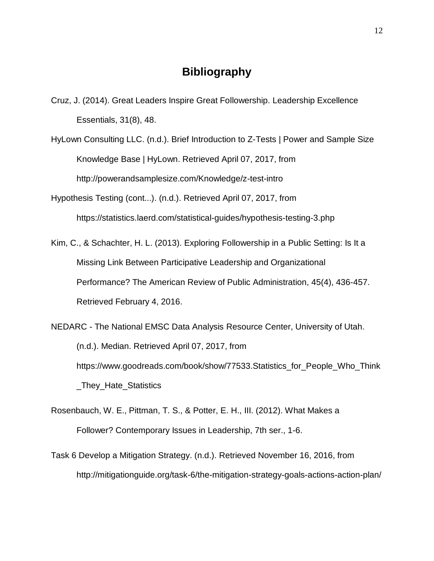## **Bibliography**

- <span id="page-16-0"></span>Cruz, J. (2014). Great Leaders Inspire Great Followership. Leadership Excellence Essentials, 31(8), 48.
- HyLown Consulting LLC. (n.d.). Brief Introduction to Z-Tests | Power and Sample Size Knowledge Base | HyLown. Retrieved April 07, 2017, from http://powerandsamplesize.com/Knowledge/z-test-intro
- Hypothesis Testing (cont...). (n.d.). Retrieved April 07, 2017, from https://statistics.laerd.com/statistical-guides/hypothesis-testing-3.php
- Kim, C., & Schachter, H. L. (2013). Exploring Followership in a Public Setting: Is It a Missing Link Between Participative Leadership and Organizational Performance? The American Review of Public Administration, 45(4), 436-457. Retrieved February 4, 2016.
- NEDARC The National EMSC Data Analysis Resource Center, University of Utah. (n.d.). Median. Retrieved April 07, 2017, from https://www.goodreads.com/book/show/77533.Statistics\_for\_People\_Who\_Think \_They\_Hate\_Statistics
- Rosenbauch, W. E., Pittman, T. S., & Potter, E. H., III. (2012). What Makes a Follower? Contemporary Issues in Leadership, 7th ser., 1-6.
- Task 6 Develop a Mitigation Strategy. (n.d.). Retrieved November 16, 2016, from http://mitigationguide.org/task-6/the-mitigation-strategy-goals-actions-action-plan/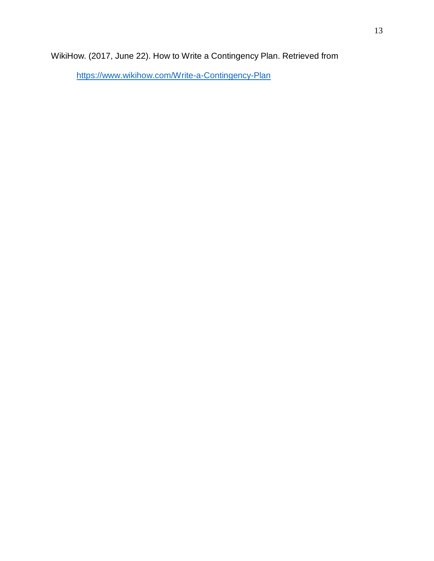WikiHow. (2017, June 22). How to Write a Contingency Plan. Retrieved from

<https://www.wikihow.com/Write-a-Contingency-Plan>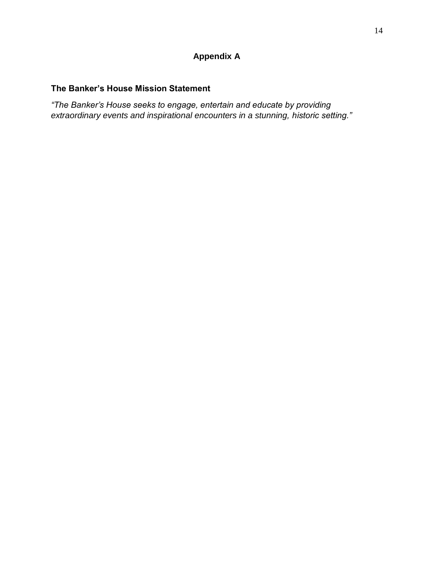## **Appendix A**

#### **The Banker's House Mission Statement**

*"The Banker's House seeks to engage, entertain and educate by providing extraordinary events and inspirational encounters in a stunning, historic setting."*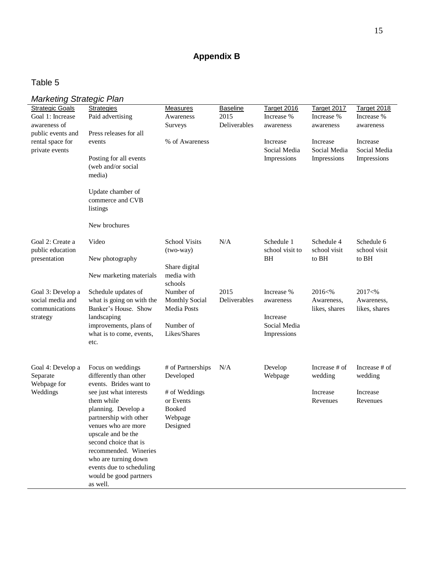## **Appendix B**

## Table 5

# *Marketing Strategic Plan*

| mamomiy unalogiy rilam<br><b>Strategic Goals</b><br>Goal 1: Increase<br>awareness of<br>public events and<br>rental space for<br>private events | <b>Strategies</b><br>Paid advertising<br>Press releases for all<br>events<br>Posting for all events<br>(web and/or social<br>media)<br>Update chamber of                                                                                                                                                                                                 | <b>Measures</b><br>Awareness<br>Surveys<br>% of Awareness                                            | <b>Baseline</b><br>2015<br>Deliverables | Target 2016<br>Increase %<br>awareness<br>Increase<br>Social Media<br>Impressions | Target 2017<br>Increase %<br>awareness<br>Increase<br>Social Media<br>Impressions | Target 2018<br>Increase %<br>awareness<br>Increase<br>Social Media<br>Impressions |
|-------------------------------------------------------------------------------------------------------------------------------------------------|----------------------------------------------------------------------------------------------------------------------------------------------------------------------------------------------------------------------------------------------------------------------------------------------------------------------------------------------------------|------------------------------------------------------------------------------------------------------|-----------------------------------------|-----------------------------------------------------------------------------------|-----------------------------------------------------------------------------------|-----------------------------------------------------------------------------------|
|                                                                                                                                                 | commerce and CVB<br>listings<br>New brochures                                                                                                                                                                                                                                                                                                            |                                                                                                      |                                         |                                                                                   |                                                                                   |                                                                                   |
| Goal 2: Create a<br>public education<br>presentation                                                                                            | Video<br>New photography<br>New marketing materials                                                                                                                                                                                                                                                                                                      | <b>School Visits</b><br>(two-way)<br>Share digital<br>media with<br>schools                          | N/A                                     | Schedule 1<br>school visit to<br>BH                                               | Schedule 4<br>school visit<br>to BH                                               | Schedule 6<br>school visit<br>to BH                                               |
| Goal 3: Develop a<br>social media and<br>communications<br>strategy                                                                             | Schedule updates of<br>what is going on with the<br>Banker's House. Show<br>landscaping<br>improvements, plans of<br>what is to come, events,<br>etc.                                                                                                                                                                                                    | Number of<br><b>Monthly Social</b><br>Media Posts<br>Number of<br>Likes/Shares                       | 2015<br>Deliverables                    | Increase %<br>awareness<br>Increase<br>Social Media<br>Impressions                | 2016<%<br>Awareness,<br>likes, shares                                             | 2017<%<br>Awareness,<br>likes, shares                                             |
| Goal 4: Develop a<br>Separate<br>Webpage for<br>Weddings                                                                                        | Focus on weddings<br>differently than other<br>events. Brides want to<br>see just what interests<br>them while<br>planning. Develop a<br>partnership with other<br>venues who are more<br>upscale and be the<br>second choice that is<br>recommended. Wineries<br>who are turning down<br>events due to scheduling<br>would be good partners<br>as well. | # of Partnerships<br>Developed<br># of Weddings<br>or Events<br><b>Booked</b><br>Webpage<br>Designed | N/A                                     | Develop<br>Webpage                                                                | Increase # of<br>wedding<br>Increase<br>Revenues                                  | Increase # of<br>wedding<br>Increase<br>Revenues                                  |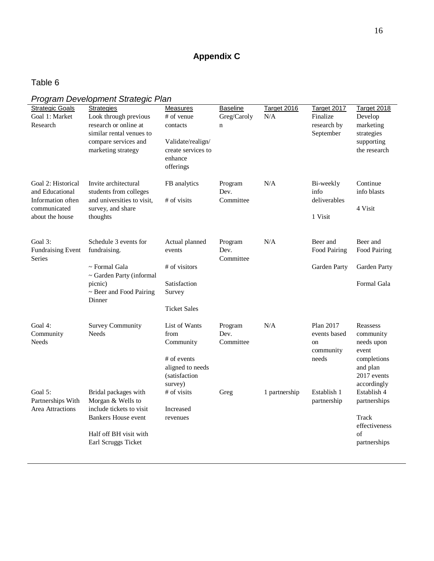## **Appendix C**

## Table 6

| <b>L</b> duit o                       |                                                                        |                                                                 |                   |               |                          |
|---------------------------------------|------------------------------------------------------------------------|-----------------------------------------------------------------|-------------------|---------------|--------------------------|
|                                       | Program Development Strategic Plan                                     |                                                                 |                   |               |                          |
| <b>Strategic Goals</b>                | <b>Strategies</b>                                                      | Measures                                                        | <b>Baseline</b>   | Target 2016   | Target 2017              |
| Goal 1: Market                        | Look through previous                                                  | # of venue                                                      | Greg/Caroly       | N/A           | Finalize                 |
| Research                              | research or online at                                                  | contacts                                                        | n                 |               | research by              |
|                                       | similar rental venues to<br>compare services and<br>marketing strategy | Validate/realign/<br>create services to<br>enhance<br>offerings |                   |               | September                |
| Goal 2: Historical<br>and Educational | Invite architectural<br>students from colleges                         | FB analytics                                                    | Program<br>Dev.   | N/A           | Bi-weekly<br>info        |
| Information often<br>communicated     | and universities to visit.<br>survey, and share                        | # of visits                                                     | Committee         |               | deliverables             |
| about the house                       | thoughts                                                               |                                                                 |                   |               | 1 Visit                  |
| Goal 3:<br><b>Fundraising Event</b>   | Schedule 3 events for<br>fundraising.                                  | Actual planned<br>events                                        | Program<br>Dev.   | N/A           | Beer and<br>Food Pairing |
| Series                                |                                                                        |                                                                 | Committee         |               |                          |
|                                       | $\sim$ Formal Gala<br>~ Garden Party (informal                         | # of visitors                                                   |                   |               | Garden Party             |
|                                       | picnic)                                                                | Satisfaction                                                    |                   |               |                          |
|                                       | ~ Beer and Food Pairing<br>Dinner                                      | Survey                                                          |                   |               |                          |
|                                       |                                                                        | <b>Ticket Sales</b>                                             |                   |               |                          |
| Goal $4$ :                            | <b>Survey Community</b>                                                | List of Wants                                                   | Program           | N/A           | Plan 2017                |
| Community<br>Needs                    | Needs                                                                  | from<br>Community                                               | Dev.<br>Committee |               | events based             |
|                                       |                                                                        |                                                                 |                   |               | on<br>community          |
|                                       |                                                                        | $#$ of events                                                   |                   |               | needs                    |
|                                       |                                                                        | aligned to needs<br>(satisfaction<br>survey)                    |                   |               |                          |
| Goal $5$ :                            | Bridal packages with                                                   | # of visits                                                     | Greg              | 1 partnership | Establish 1              |
| Partnerships With                     | Morgan & Wells to                                                      |                                                                 |                   |               | partnership              |
| <b>Area Attractions</b>               | include tickets to visit                                               | <b>Increased</b>                                                |                   |               |                          |
|                                       | Bankers House event                                                    | revenues                                                        |                   |               |                          |

Half off BH visit with Earl Scruggs Ticket

16

Target 2018

Develop marketing strategies supporting the research

Continue info blasts

4 Visit

Beer and Food Pairing

Garden Party

Formal Gala

Reassess community needs upon event completions and plan 2017 events accordingly

Establish 4 partnerships

partnerships

Track effectiveness

of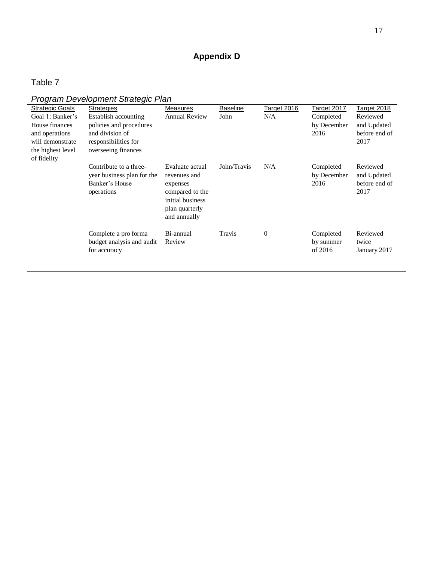## **Appendix D**

## Table 7

# *Program Development Strategic Plan*

|                        | $1.991$ and $2.019$ and $1.011$ and $1.011$                                          |                                                                                                                      |                 |             |                                   |                                                  |
|------------------------|--------------------------------------------------------------------------------------|----------------------------------------------------------------------------------------------------------------------|-----------------|-------------|-----------------------------------|--------------------------------------------------|
| <b>Strategic Goals</b> | <b>Strategies</b>                                                                    | Measures                                                                                                             | <b>Baseline</b> | Target 2016 | Target 2017                       | Target 2018                                      |
| Goal 1: Banker's       | Establish accounting                                                                 | <b>Annual Review</b>                                                                                                 | John            | N/A         | Completed                         | Reviewed                                         |
| House finances         | policies and procedures                                                              |                                                                                                                      |                 |             | by December                       | and Updated                                      |
| and operations         | and division of                                                                      |                                                                                                                      |                 |             | 2016                              | before end of                                    |
| will demonstrate       | responsibilities for                                                                 |                                                                                                                      |                 |             |                                   | 2017                                             |
| the highest level      | overseeing finances                                                                  |                                                                                                                      |                 |             |                                   |                                                  |
| of fidelity            |                                                                                      |                                                                                                                      |                 |             |                                   |                                                  |
|                        | Contribute to a three-<br>year business plan for the<br>Banker's House<br>operations | Evaluate actual<br>revenues and<br>expenses<br>compared to the<br>initial business<br>plan quarterly<br>and annually | John/Travis     | N/A         | Completed<br>by December<br>2016  | Reviewed<br>and Updated<br>before end of<br>2017 |
|                        | Complete a pro forma<br>budget analysis and audit<br>for accuracy                    | Bi-annual<br>Review                                                                                                  | Travis          | $\theta$    | Completed<br>by summer<br>of 2016 | Reviewed<br>twice<br>January 2017                |